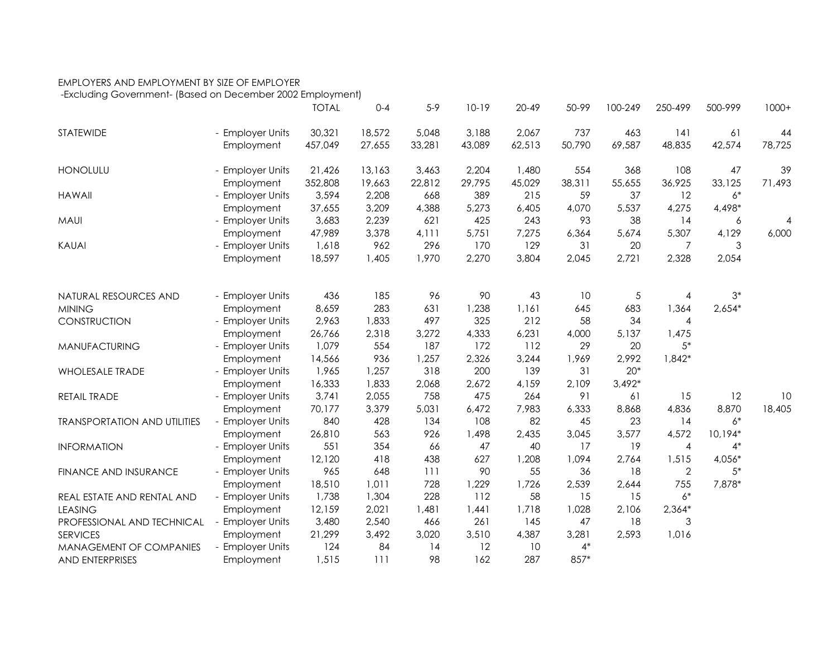## EMPLOYERS AND EMPLOYMENT BY SIZE OF EMPLOYER

-Excluding Government- (Based on December 2002 Employment)

|                                     |                  | <b>TOTAL</b> | $0 - 4$ | $5-9$  | $10-19$ | $20 - 49$ | 50-99  | 100-249  | 250-499        | 500-999  | $1000+$        |
|-------------------------------------|------------------|--------------|---------|--------|---------|-----------|--------|----------|----------------|----------|----------------|
| STATEWIDE                           | - Employer Units | 30,321       | 18,572  | 5,048  | 3,188   | 2,067     | 737    | 463      | 141            | 61       | 44             |
|                                     | Employment       | 457,049      | 27,655  | 33,281 | 43,089  | 62,513    | 50,790 | 69,587   | 48,835         | 42,574   | 78,725         |
| <b>HONOLULU</b>                     | - Employer Units | 21,426       | 13,163  | 3,463  | 2,204   | 1,480     | 554    | 368      | 108            | 47       | 39             |
|                                     | Employment       | 352,808      | 19,663  | 22,812 | 29,795  | 45,029    | 38,311 | 55,655   | 36,925         | 33,125   | 71,493         |
| <b>HAWAII</b>                       | - Employer Units | 3,594        | 2,208   | 668    | 389     | 215       | 59     | 37       | 12             | $6*$     |                |
|                                     | Employment       | 37,655       | 3,209   | 4,388  | 5,273   | 6,405     | 4,070  | 5,537    | 4,275          | 4,498*   |                |
| <b>MAUI</b>                         | - Employer Units | 3,683        | 2,239   | 621    | 425     | 243       | 93     | 38       | 14             | 6        | $\overline{4}$ |
|                                     | Employment       | 47,989       | 3,378   | 4,111  | 5,751   | 7,275     | 6,364  | 5,674    | 5,307          | 4,129    | 6,000          |
| <b>KAUAI</b>                        | - Employer Units | 1,618        | 962     | 296    | 170     | 129       | 31     | 20       | 7              | 3        |                |
|                                     | Employment       | 18,597       | 1,405   | 1,970  | 2,270   | 3,804     | 2,045  | 2,721    | 2,328          | 2,054    |                |
|                                     |                  |              |         |        |         |           |        |          |                |          |                |
| NATURAL RESOURCES AND               | - Employer Units | 436          | 185     | 96     | 90      | 43        | 10     | 5        | 4              | $3*$     |                |
| <b>MINING</b>                       | Employment       | 8,659        | 283     | 631    | 1,238   | 1,161     | 645    | 683      | 1,364          | $2,654*$ |                |
| CONSTRUCTION                        | - Employer Units | 2,963        | 1,833   | 497    | 325     | 212       | 58     | 34       | $\overline{4}$ |          |                |
|                                     | Employment       | 26,766       | 2,318   | 3,272  | 4,333   | 6,231     | 4,000  | 5,137    | 1,475          |          |                |
| MANUFACTURING                       | - Employer Units | 1,079        | 554     | 187    | 172     | 112       | 29     | 20       | $5*$           |          |                |
|                                     | Employment       | 14,566       | 936     | 1,257  | 2,326   | 3,244     | 1,969  | 2,992    | $1,842*$       |          |                |
| <b>WHOLESALE TRADE</b>              | - Employer Units | 1,965        | 1,257   | 318    | 200     | 139       | 31     | $20*$    |                |          |                |
|                                     | Employment       | 16,333       | 1,833   | 2,068  | 2,672   | 4,159     | 2,109  | $3,492*$ |                |          |                |
| RETAIL TRADE                        | - Employer Units | 3,741        | 2,055   | 758    | 475     | 264       | 91     | 61       | 15             | 12       | 10             |
|                                     | Employment       | 70,177       | 3,379   | 5,031  | 6,472   | 7,983     | 6,333  | 8,868    | 4,836          | 8,870    | 18,405         |
| <b>TRANSPORTATION AND UTILITIES</b> | - Employer Units | 840          | 428     | 134    | 108     | 82        | 45     | 23       | 14             | $6^\ast$ |                |
|                                     | Employment       | 26,810       | 563     | 926    | 1,498   | 2,435     | 3,045  | 3,577    | 4,572          | 10,194*  |                |
| <b>INFORMATION</b>                  | - Employer Units | 551          | 354     | 66     | 47      | 40        | 17     | 19       | 4              | $4*$     |                |
|                                     | Employment       | 12,120       | 418     | 438    | 627     | 1,208     | 1,094  | 2,764    | 1,515          | $4,056*$ |                |
| <b>FINANCE AND INSURANCE</b>        | - Employer Units | 965          | 648     | 111    | 90      | 55        | 36     | 18       | $\mathbf{2}$   | $5*$     |                |
|                                     | Employment       | 18,510       | 1,011   | 728    | 1,229   | 1,726     | 2,539  | 2,644    | 755            | 7,878*   |                |
| REAL ESTATE AND RENTAL AND          | - Employer Units | 1,738        | 1,304   | 228    | 112     | 58        | 15     | 15       | $6*$           |          |                |
| <b>LEASING</b>                      | Employment       | 12,159       | 2,021   | 1,481  | 1,441   | 1,718     | 1,028  | 2,106    | $2,364*$       |          |                |
| PROFESSIONAL AND TECHNICAL          | - Employer Units | 3,480        | 2,540   | 466    | 261     | 145       | 47     | 18       | 3              |          |                |
| <b>SERVICES</b>                     | Employment       | 21,299       | 3,492   | 3,020  | 3,510   | 4,387     | 3,281  | 2,593    | 1,016          |          |                |
| MANAGEMENT OF COMPANIES             | - Employer Units | 124          | 84      | 14     | 12      | 10        | $4*$   |          |                |          |                |
| <b>AND ENTERPRISES</b>              | Employment       | 1,515        | 111     | 98     | 162     | 287       | 857*   |          |                |          |                |